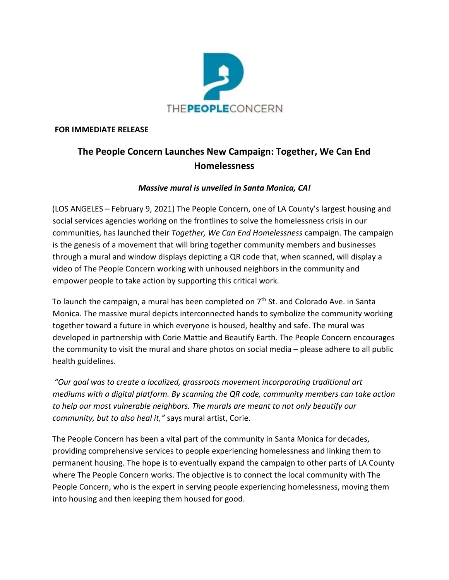

## **FOR IMMEDIATE RELEASE**

## **The People Concern Launches New Campaign: Together, We Can End Homelessness**

## *Massive mural is unveiled in Santa Monica, CA!*

(LOS ANGELES – February 9, 2021) The People Concern, one of LA County's largest housing and social services agencies working on the frontlines to solve the homelessness crisis in our communities, has launched their *Together, We Can End Homelessness* campaign. The campaign is the genesis of a movement that will bring together community members and businesses through a mural and window displays depicting a QR code that, when scanned, will display a video of The People Concern working with unhoused neighbors in the community and empower people to take action by supporting this critical work.

To launch the campaign, a mural has been completed on  $7<sup>th</sup>$  St. and Colorado Ave. in Santa Monica. The massive mural depicts interconnected hands to symbolize the community working together toward a future in which everyone is housed, healthy and safe. The mural was developed in partnership with Corie Mattie and Beautify Earth. The People Concern encourages the community to visit the mural and share photos on social media – please adhere to all public health guidelines.

*"Our goal was to create a localized, grassroots movement incorporating traditional art mediums with a digital platform. By scanning the QR code, community members can take action to help our most vulnerable neighbors. The murals are meant to not only beautify our community, but to also heal it,"* says mural artist, Corie.

The People Concern has been a vital part of the community in Santa Monica for decades, providing comprehensive services to people experiencing homelessness and linking them to permanent housing. The hope is to eventually expand the campaign to other parts of LA County where The People Concern works. The objective is to connect the local community with The People Concern, who is the expert in serving people experiencing homelessness, moving them into housing and then keeping them housed for good.